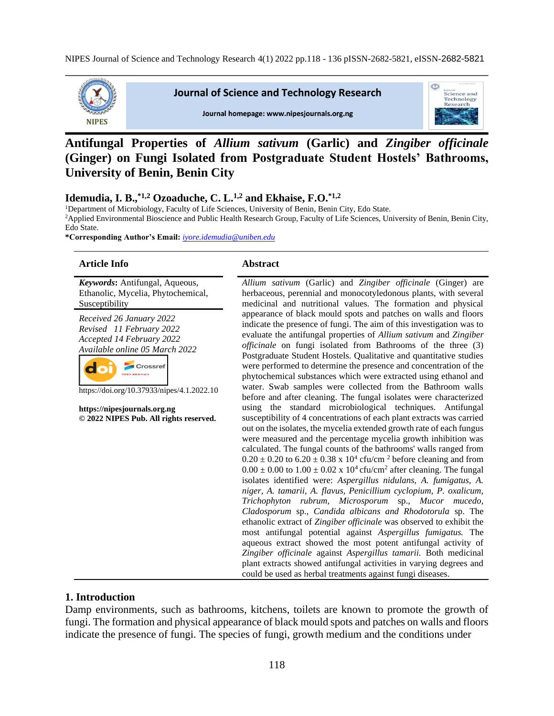

#### **Journal of Science and Technology Research**



#### Journal homepage: www.nipesjournals.org.ng

# **Antifungal Properties of** *Allium sativum* **(Garlic) and** *Zingiber officinale*  **(Ginger) on Fungi Isolated from Postgraduate Student Hostels' Bathrooms, University of Benin, Benin City**

#### **Idemudia, I. B.,\*1,2 Ozoaduche, C. L.1,2 and Ekhaise, F.O.\*1,2**

<sup>1</sup>Department of Microbiology, Faculty of Life Sciences, University of Benin, Benin City, Edo State. <sup>2</sup>Applied Environmental Bioscience and Public Health Research Group, Faculty of Life Sciences, University of Benin, Benin City, Edo State.

**\*Corresponding Author's Email:** *[iyore.idemudia@uniben.edu](mailto:iyore.idemudia@uniben.edu)*

#### **Article Info Abstract**

*Keywords***:** Antifungal, Aqueous, Ethanolic, Mycelia, Phytochemical, Susceptibility

*Received 26 January 2022 Revised 11 February 2022 Accepted 14 February 2022 Available online 05 March 2022*



https://doi.org/10.37933/nipes/4.1.2022.10

**https://nipesjournals.org.ng © 2022 NIPES Pub. All rights reserved.**

*Allium sativum* (Garlic) and *Zingiber officinale* (Ginger) are herbaceous, perennial and monocotyledonous plants, with several medicinal and nutritional values. The formation and physical appearance of black mould spots and patches on walls and floors indicate the presence of fungi. The aim of this investigation was to evaluate the antifungal properties of *Allium sativum* and *Zingiber officinale* on fungi isolated from Bathrooms of the three (3) Postgraduate Student Hostels. Qualitative and quantitative studies were performed to determine the presence and concentration of the phytochemical substances which were extracted using ethanol and water. Swab samples were collected from the Bathroom walls before and after cleaning. The fungal isolates were characterized using the standard microbiological techniques. Antifungal susceptibility of 4 concentrations of each plant extracts was carried out on the isolates, the mycelia extended growth rate of each fungus were measured and the percentage mycelia growth inhibition was calculated. The fungal counts of the bathrooms' walls ranged from  $0.20 \pm 0.20$  to  $6.20 \pm 0.38$  x  $10^4$  cfu/cm<sup>2</sup> before cleaning and from  $0.00 \pm 0.00$  to  $1.00 \pm 0.02$  x  $10^4$  cfu/cm<sup>2</sup> after cleaning. The fungal isolates identified were: *Aspergillus nidulans, A. fumigatus, A. niger, A. tamarii, A. flavus, Penicillium cyclopium, P. oxalicum, Trichophyton rubrum, Microsporum* sp., *Mucor mucedo, Cladosporum* sp., *Candida albicans and Rhodotorula* sp. The ethanolic extract of *Zingiber officinale* was observed to exhibit the most antifungal potential against *Aspergillus fumigatus.* The aqueous extract showed the most potent antifungal activity of *Zingiber officinale* against *Aspergillus tamarii.* Both medicinal plant extracts showed antifungal activities in varying degrees and could be used as herbal treatments against fungi diseases.

#### **1. Introduction**

Damp environments, such as bathrooms, kitchens, toilets are known to promote the growth of fungi. The formation and physical appearance of black mould spots and patches on walls and floors indicate the presence of fungi. The species of fungi, growth medium and the conditions under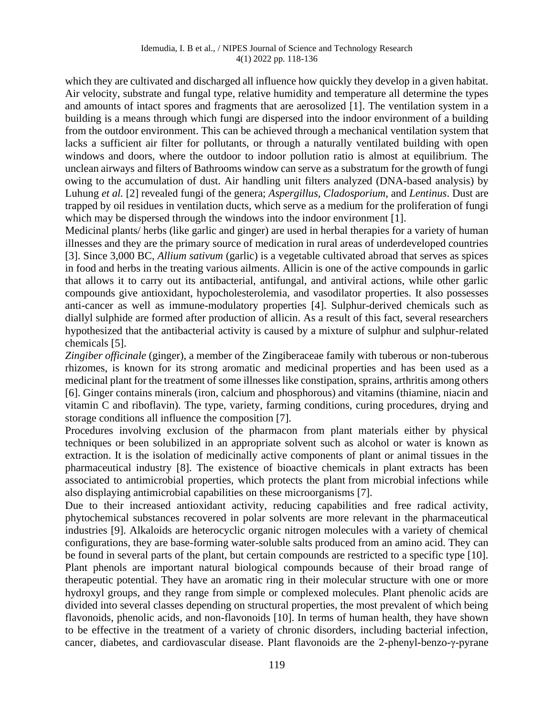which they are cultivated and discharged all influence how quickly they develop in a given habitat. Air velocity, substrate and fungal type, relative humidity and temperature all determine the types and amounts of intact spores and fragments that are aerosolized [1]. The ventilation system in a building is a means through which fungi are dispersed into the indoor environment of a building from the outdoor environment. This can be achieved through a mechanical ventilation system that lacks a sufficient air filter for pollutants, or through a naturally ventilated building with open windows and doors, where the outdoor to indoor pollution ratio is almost at equilibrium. The unclean airways and filters of Bathrooms window can serve as a substratum for the growth of fungi owing to the accumulation of dust. Air handling unit filters analyzed (DNA-based analysis) by Luhung *et al.* [2] revealed fungi of the genera; *Aspergillus, Cladosporium,* and *Lentinus*. Dust are trapped by oil residues in ventilation ducts, which serve as a medium for the proliferation of fungi which may be dispersed through the windows into the indoor environment [1].

Medicinal plants/ herbs (like garlic and ginger) are used in herbal therapies for a variety of human illnesses and they are the primary source of medication in rural areas of underdeveloped countries [3]. Since 3,000 BC*, Allium sativum* (garlic) is a vegetable cultivated abroad that serves as spices in food and herbs in the treating various ailments. Allicin is one of the active compounds in garlic that allows it to carry out its antibacterial, antifungal, and antiviral actions, while other garlic compounds give antioxidant, hypocholesterolemia, and vasodilator properties. It also possesses anti-cancer as well as immune-modulatory properties [4]. Sulphur-derived chemicals such as diallyl sulphide are formed after production of allicin. As a result of this fact, several researchers hypothesized that the antibacterial activity is caused by a mixture of sulphur and sulphur-related chemicals [5].

*Zingiber officinale* (ginger), a member of the Zingiberaceae family with tuberous or non-tuberous rhizomes, is known for its strong aromatic and medicinal properties and has been used as a medicinal plant for the treatment of some illnesses like constipation, sprains, arthritis among others [6]. Ginger contains minerals (iron, calcium and phosphorous) and vitamins (thiamine, niacin and vitamin C and riboflavin). The type, variety, farming conditions, curing procedures, drying and storage conditions all influence the composition [7].

Procedures involving exclusion of the pharmacon from plant materials either by physical techniques or been solubilized in an appropriate solvent such as alcohol or water is known as extraction. It is the isolation of medicinally active components of plant or animal tissues in the pharmaceutical industry [8]. The existence of bioactive chemicals in plant extracts has been associated to antimicrobial properties, which protects the plant from microbial infections while also displaying antimicrobial capabilities on these microorganisms [7].

Due to their increased antioxidant activity, reducing capabilities and free radical activity, phytochemical substances recovered in polar solvents are more relevant in the pharmaceutical industries [9]. Alkaloids are heterocyclic organic nitrogen molecules with a variety of chemical configurations, they are base-forming water-soluble salts produced from an amino acid. They can be found in several parts of the plant, but certain compounds are restricted to a specific type [10]. Plant phenols are important natural biological compounds because of their broad range of therapeutic potential. They have an aromatic ring in their molecular structure with one or more hydroxyl groups, and they range from simple or complexed molecules. Plant phenolic acids are divided into several classes depending on structural properties, the most prevalent of which being flavonoids, phenolic acids, and non-flavonoids [10]. In terms of human health, they have shown to be effective in the treatment of a variety of chronic disorders, including bacterial infection, cancer, diabetes, and cardiovascular disease. Plant flavonoids are the 2-phenyl-benzo-γ-pyrane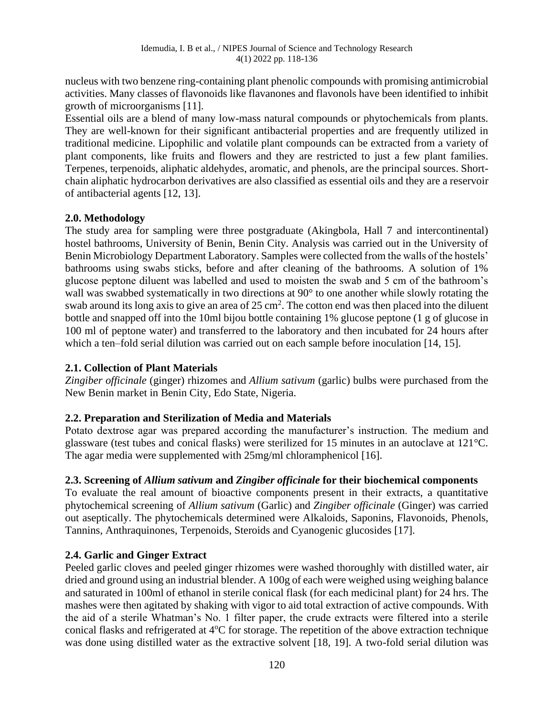nucleus with two benzene ring-containing plant phenolic compounds with promising antimicrobial activities. Many classes of flavonoids like flavanones and flavonols have been identified to inhibit growth of microorganisms [11].

Essential oils are a blend of many low-mass natural compounds or phytochemicals from plants. They are well-known for their significant antibacterial properties and are frequently utilized in traditional medicine. Lipophilic and volatile plant compounds can be extracted from a variety of plant components, like fruits and flowers and they are restricted to just a few plant families. Terpenes, terpenoids, aliphatic aldehydes, aromatic, and phenols, are the principal sources. Shortchain aliphatic hydrocarbon derivatives are also classified as essential oils and they are a reservoir of antibacterial agents [12, 13].

## **2.0. Methodology**

The study area for sampling were three postgraduate (Akingbola, Hall 7 and intercontinental) hostel bathrooms, University of Benin, Benin City. Analysis was carried out in the University of Benin Microbiology Department Laboratory. Samples were collected from the walls of the hostels' bathrooms using swabs sticks, before and after cleaning of the bathrooms. A solution of 1% glucose peptone diluent was labelled and used to moisten the swab and 5 cm of the bathroom's wall was swabbed systematically in two directions at 90° to one another while slowly rotating the swab around its long axis to give an area of  $25 \text{ cm}^2$ . The cotton end was then placed into the diluent bottle and snapped off into the 10ml bijou bottle containing 1% glucose peptone (1 g of glucose in 100 ml of peptone water) and transferred to the laboratory and then incubated for 24 hours after which a ten–fold serial dilution was carried out on each sample before inoculation [14, 15].

## **2.1. Collection of Plant Materials**

*Zingiber officinale* (ginger) rhizomes and *Allium sativum* (garlic) bulbs were purchased from the New Benin market in Benin City, Edo State, Nigeria.

#### **2.2. Preparation and Sterilization of Media and Materials**

Potato dextrose agar was prepared according the manufacturer's instruction. The medium and glassware (test tubes and conical flasks) were sterilized for 15 minutes in an autoclave at 121°C. The agar media were supplemented with 25mg/ml chloramphenicol [16].

#### **2.3. Screening of** *Allium sativum* **and** *Zingiber officinale* **for their biochemical components**

To evaluate the real amount of bioactive components present in their extracts, a quantitative phytochemical screening of *Allium sativum* (Garlic) and *Zingiber officinale* (Ginger) was carried out aseptically. The phytochemicals determined were Alkaloids, Saponins, Flavonoids, Phenols, Tannins, Anthraquinones, Terpenoids, Steroids and Cyanogenic glucosides [17].

## **2.4. Garlic and Ginger Extract**

Peeled garlic cloves and peeled ginger rhizomes were washed thoroughly with distilled water, air dried and ground using an industrial blender. A 100g of each were weighed using weighing balance and saturated in 100ml of ethanol in sterile conical flask (for each medicinal plant) for 24 hrs. The mashes were then agitated by shaking with vigor to aid total extraction of active compounds. With the aid of a sterile Whatman's No. 1 filter paper, the crude extracts were filtered into a sterile conical flasks and refrigerated at 4°C for storage. The repetition of the above extraction technique was done using distilled water as the extractive solvent [18, 19]. A two-fold serial dilution was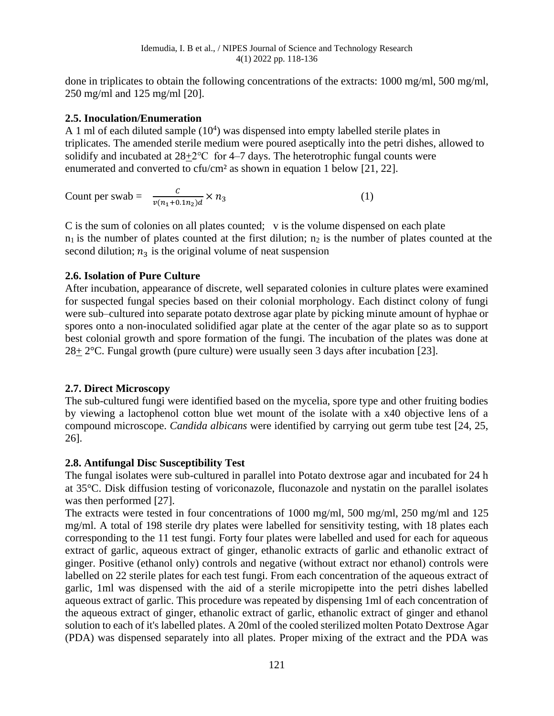done in triplicates to obtain the following concentrations of the extracts: 1000 mg/ml, 500 mg/ml, 250 mg/ml and 125 mg/ml [20].

## **2.5. Inoculation/Enumeration**

A 1 ml of each diluted sample  $(10<sup>4</sup>)$  was dispensed into empty labelled sterile plates in triplicates. The amended sterile medium were poured aseptically into the petri dishes, allowed to solidify and incubated at  $28+2$ °C for 4–7 days. The heterotrophic fungal counts were enumerated and converted to cfu/cm² as shown in equation 1 below [21, 22].

Count per swab =  $\frac{c}{v(n_1+0.1n_2)d} \times n_3$  (1)

C is the sum of colonies on all plates counted; v is the volume dispensed on each plate  $n_1$  is the number of plates counted at the first dilution;  $n_2$  is the number of plates counted at the second dilution;  $n_3$  is the original volume of neat suspension

## **2.6. Isolation of Pure Culture**

After incubation, appearance of discrete, well separated colonies in culture plates were examined for suspected fungal species based on their colonial morphology. Each distinct colony of fungi were sub–cultured into separate potato dextrose agar plate by picking minute amount of hyphae or spores onto a non-inoculated solidified agar plate at the center of the agar plate so as to support best colonial growth and spore formation of the fungi. The incubation of the plates was done at 28+ 2°C. Fungal growth (pure culture) were usually seen 3 days after incubation [23].

## **2.7. Direct Microscopy**

The sub-cultured fungi were identified based on the mycelia, spore type and other fruiting bodies by viewing a lactophenol cotton blue wet mount of the isolate with a x40 objective lens of a compound microscope. *Candida albicans* were identified by carrying out germ tube test [24, 25, 26].

## **2.8. Antifungal Disc Susceptibility Test**

The fungal isolates were sub-cultured in parallel into Potato dextrose agar and incubated for 24 h at 35°C. Disk diffusion testing of voriconazole, fluconazole and nystatin on the parallel isolates was then performed [27].

The extracts were tested in four concentrations of 1000 mg/ml, 500 mg/ml, 250 mg/ml and 125 mg/ml. A total of 198 sterile dry plates were labelled for sensitivity testing, with 18 plates each corresponding to the 11 test fungi. Forty four plates were labelled and used for each for aqueous extract of garlic, aqueous extract of ginger, ethanolic extracts of garlic and ethanolic extract of ginger. Positive (ethanol only) controls and negative (without extract nor ethanol) controls were labelled on 22 sterile plates for each test fungi. From each concentration of the aqueous extract of garlic, 1ml was dispensed with the aid of a sterile micropipette into the petri dishes labelled aqueous extract of garlic. This procedure was repeated by dispensing 1ml of each concentration of the aqueous extract of ginger, ethanolic extract of garlic, ethanolic extract of ginger and ethanol solution to each of it's labelled plates. A 20ml of the cooled sterilized molten Potato Dextrose Agar (PDA) was dispensed separately into all plates. Proper mixing of the extract and the PDA was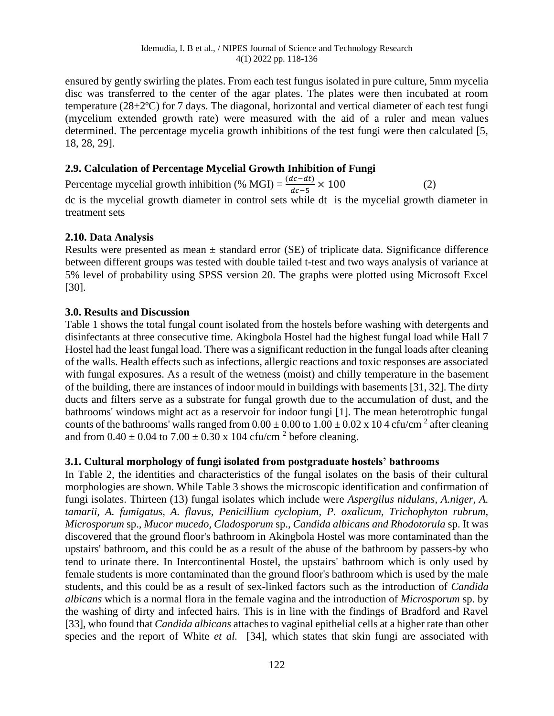ensured by gently swirling the plates. From each test fungus isolated in pure culture, 5mm mycelia disc was transferred to the center of the agar plates. The plates were then incubated at room temperature (28±2ºC) for 7 days. The diagonal, horizontal and vertical diameter of each test fungi (mycelium extended growth rate) were measured with the aid of a ruler and mean values determined. The percentage mycelia growth inhibitions of the test fungi were then calculated [5, 18, 28, 29].

# **2.9. Calculation of Percentage Mycelial Growth Inhibition of Fungi**

Percentage mycelial growth inhibition (% MGI) =  $\frac{(dc - dt)}{dc - 5} \times 100$  (2) dc is the mycelial growth diameter in control sets while dt is the mycelial growth diameter in treatment sets

## **2.10. Data Analysis**

Results were presented as mean  $\pm$  standard error (SE) of triplicate data. Significance difference between different groups was tested with double tailed t-test and two ways analysis of variance at 5% level of probability using SPSS version 20. The graphs were plotted using Microsoft Excel [30].

## **3.0. Results and Discussion**

Table 1 shows the total fungal count isolated from the hostels before washing with detergents and disinfectants at three consecutive time. Akingbola Hostel had the highest fungal load while Hall 7 Hostel had the least fungal load. There was a significant reduction in the fungal loads after cleaning of the walls. Health effects such as infections, allergic reactions and toxic responses are associated with fungal exposures. As a result of the wetness (moist) and chilly temperature in the basement of the building, there are instances of indoor mould in buildings with basements [31, 32]. The dirty ducts and filters serve as a substrate for fungal growth due to the accumulation of dust, and the bathrooms' windows might act as a reservoir for indoor fungi [1]. The mean heterotrophic fungal counts of the bathrooms' walls ranged from  $0.00 \pm 0.00$  to  $1.00 \pm 0.02$  x 10 4 cfu/cm<sup>2</sup> after cleaning and from  $0.40 \pm 0.04$  to  $7.00 \pm 0.30$  x 104 cfu/cm<sup>2</sup> before cleaning.

#### **3.1. Cultural morphology of fungi isolated from postgraduate hostels' bathrooms**

In Table 2, the identities and characteristics of the fungal isolates on the basis of their cultural morphologies are shown. While Table 3 shows the microscopic identification and confirmation of fungi isolates. Thirteen (13) fungal isolates which include were *Aspergilus nidulans*, *A.niger, A. tamarii, A. fumigatus, A. flavus, Penicillium cyclopium, P. oxalicum, Trichophyton rubrum, Microsporum* sp.*, Mucor mucedo, Cladosporum* sp.*, Candida albicans and Rhodotorula* sp. It was discovered that the ground floor's bathroom in Akingbola Hostel was more contaminated than the upstairs' bathroom, and this could be as a result of the abuse of the bathroom by passers-by who tend to urinate there. In Intercontinental Hostel, the upstairs' bathroom which is only used by female students is more contaminated than the ground floor's bathroom which is used by the male students, and this could be as a result of sex-linked factors such as the introduction of *Candida albicans* which is a normal flora in the female vagina and the introduction of *Microsporum* sp. by the washing of dirty and infected hairs. This is in line with the findings of Bradford and Ravel [33], who found that *Candida albicans* attaches to vaginal epithelial cells at a higher rate than other species and the report of White *et al.* [34], which states that skin fungi are associated with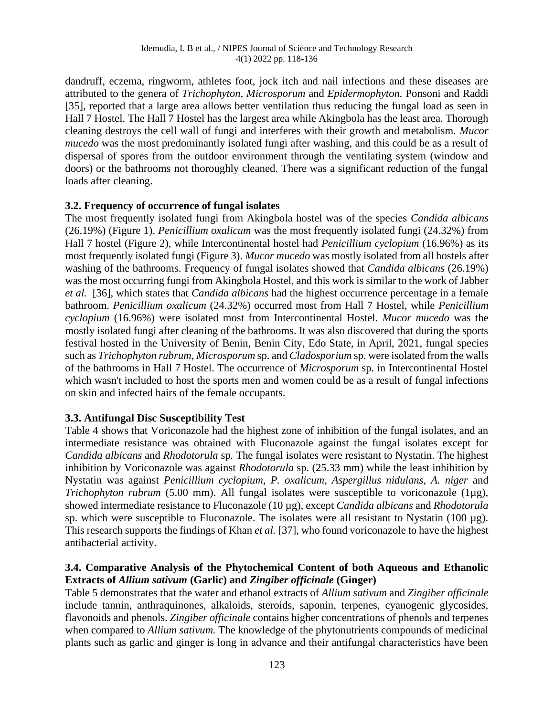dandruff, eczema, ringworm, athletes foot, jock itch and nail infections and these diseases are attributed to the genera of *Trichophyton, Microsporum* and *Epidermophyton.* Ponsoni and Raddi [35], reported that a large area allows better ventilation thus reducing the fungal load as seen in Hall 7 Hostel. The Hall 7 Hostel has the largest area while Akingbola has the least area. Thorough cleaning destroys the cell wall of fungi and interferes with their growth and metabolism. *Mucor mucedo* was the most predominantly isolated fungi after washing, and this could be as a result of dispersal of spores from the outdoor environment through the ventilating system (window and doors) or the bathrooms not thoroughly cleaned. There was a significant reduction of the fungal loads after cleaning.

## **3.2. Frequency of occurrence of fungal isolates**

The most frequently isolated fungi from Akingbola hostel was of the species *Candida albicans*  (26.19%) (Figure 1). *Penicillium oxalicum* was the most frequently isolated fungi (24.32%) from Hall 7 hostel (Figure 2), while Intercontinental hostel had *Penicillium cyclopium* (16.96%) as its most frequently isolated fungi (Figure 3). *Mucor mucedo* was mostly isolated from all hostels after washing of the bathrooms. Frequency of fungal isolates showed that *Candida albicans* (26.19%) was the most occurring fungi from Akingbola Hostel, and this work is similar to the work of Jabber *et al.* [36], which states that *Candida albicans* had the highest occurrence percentage in a female bathroom. *Penicillium oxalicum* (24.32%) occurred most from Hall 7 Hostel, while *Penicillium cyclopium* (16.96%) were isolated most from Intercontinental Hostel. *Mucor mucedo* was the mostly isolated fungi after cleaning of the bathrooms. It was also discovered that during the sports festival hosted in the University of Benin, Benin City, Edo State, in April, 2021, fungal species such as *Trichophyton rubrum*, *Microsporum* sp. and *Cladosporium* sp. were isolated from the walls of the bathrooms in Hall 7 Hostel. The occurrence of *Microsporum* sp. in Intercontinental Hostel which wasn't included to host the sports men and women could be as a result of fungal infections on skin and infected hairs of the female occupants.

## **3.3. Antifungal Disc Susceptibility Test**

Table 4 shows that Voriconazole had the highest zone of inhibition of the fungal isolates, and an intermediate resistance was obtained with Fluconazole against the fungal isolates except for *Candida albicans* and *Rhodotorula* sp*.* The fungal isolates were resistant to Nystatin. The highest inhibition by Voriconazole was against *Rhodotorula* sp. (25.33 mm) while the least inhibition by Nystatin was against *Penicillium cyclopium, P. oxalicum, Aspergillus nidulans, A. niger* and *Trichophyton rubrum* (5.00 mm). All fungal isolates were susceptible to voriconazole (1µg), showed intermediate resistance to Fluconazole (10 µg), except *Candida albicans* and *Rhodotorula*  sp. which were susceptible to Fluconazole. The isolates were all resistant to Nystatin (100 µg). This research supports the findings of Khan *et al.* [37], who found voriconazole to have the highest antibacterial activity.

## **3.4. Comparative Analysis of the Phytochemical Content of both Aqueous and Ethanolic Extracts of** *Allium sativum* **(Garlic) and** *Zingiber officinale* **(Ginger)**

Table 5 demonstrates that the water and ethanol extracts of *Allium sativum* and *Zingiber officinale* include tannin, anthraquinones, alkaloids, steroids, saponin, terpenes, cyanogenic glycosides, flavonoids and phenols. *Zingiber officinale* contains higher concentrations of phenols and terpenes when compared to *Allium sativum.* The knowledge of the phytonutrients compounds of medicinal plants such as garlic and ginger is long in advance and their antifungal characteristics have been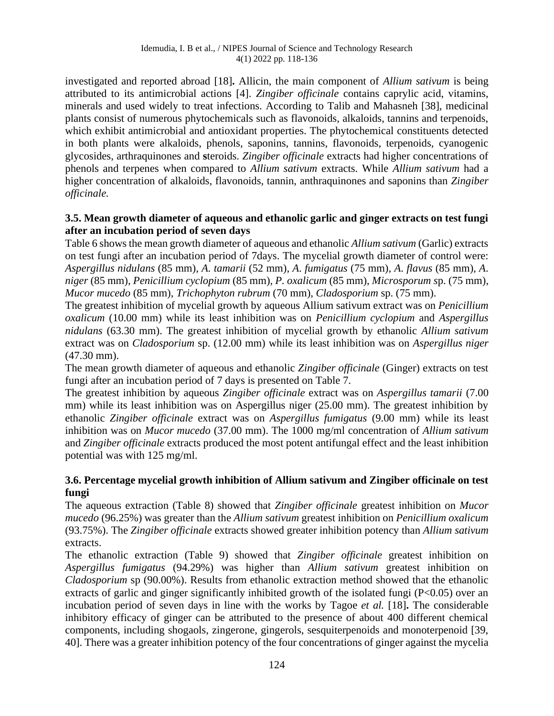investigated and reported abroad [18]**.** Allicin, the main component of *Allium sativum* is being attributed to its antimicrobial actions [4]. *Zingiber officinale* contains caprylic acid, vitamins, minerals and used widely to treat infections. According to Talib and Mahasneh [38], medicinal plants consist of numerous phytochemicals such as flavonoids, alkaloids, tannins and terpenoids, which exhibit antimicrobial and antioxidant properties. The phytochemical constituents detected in both plants were alkaloids, phenols, saponins, tannins, flavonoids, terpenoids, cyanogenic glycosides, arthraquinones and **s**teroids. *Zingiber officinale* extracts had higher concentrations of phenols and terpenes when compared to *Allium sativum* extracts. While *Allium sativum* had a higher concentration of alkaloids, flavonoids, tannin, anthraquinones and saponins than *Zingiber officinale.*

## **3.5. Mean growth diameter of aqueous and ethanolic garlic and ginger extracts on test fungi after an incubation period of seven days**

Table 6 shows the mean growth diameter of aqueous and ethanolic *Allium sativum* (Garlic) extracts on test fungi after an incubation period of 7days. The mycelial growth diameter of control were: *Aspergillus nidulans* (85 mm), *A. tamarii* (52 mm), *A*. *fumigatus* (75 mm), *A*. *flavus* (85 mm), *A*. *niger* (85 mm), *Penicillium cyclopium* (85 mm), *P. oxalicum* (85 mm), *Microsporum s*p. (75 mm), *Mucor mucedo* (85 mm), *Trichophyton rubrum* (70 mm), *Cladosporium* sp. (75 mm).

The greatest inhibition of mycelial growth by aqueous Allium sativum extract was on *Penicillium oxalicum* (10.00 mm) while its least inhibition was on *Penicillium cyclopium* and *Aspergillus nidulans* (63.30 mm). The greatest inhibition of mycelial growth by ethanolic *Allium sativum* extract was on *Cladosporium* sp. (12.00 mm) while its least inhibition was on *Aspergillus niger* (47.30 mm).

The mean growth diameter of aqueous and ethanolic *Zingiber officinale* (Ginger) extracts on test fungi after an incubation period of 7 days is presented on Table 7.

The greatest inhibition by aqueous *Zingiber officinale* extract was on *Aspergillus tamarii* (7.00 mm) while its least inhibition was on Aspergillus niger (25.00 mm). The greatest inhibition by ethanolic *Zingiber officinale* extract was on *Aspergillus fumigatus* (9.00 mm) while its least inhibition was on *Mucor mucedo* (37.00 mm). The 1000 mg/ml concentration of *Allium sativum* and *Zingiber officinale* extracts produced the most potent antifungal effect and the least inhibition potential was with 125 mg/ml.

## **3.6. Percentage mycelial growth inhibition of Allium sativum and Zingiber officinale on test fungi**

The aqueous extraction (Table 8) showed that *Zingiber officinale* greatest inhibition on *Mucor mucedo* (96.25%) was greater than the *Allium sativum* greatest inhibition on *Penicillium oxalicum* (93.75%). The *Zingiber officinale* extracts showed greater inhibition potency than *Allium sativum* extracts.

The ethanolic extraction (Table 9) showed that *Zingiber officinale* greatest inhibition on *Aspergillus fumigatus* (94.29%) was higher than *Allium sativum* greatest inhibition on *Cladosporium* sp (90.00%). Results from ethanolic extraction method showed that the ethanolic extracts of garlic and ginger significantly inhibited growth of the isolated fungi (P<0.05) over an incubation period of seven days in line with the works by Tagoe *et al.* [18]**.** The considerable inhibitory efficacy of ginger can be attributed to the presence of about 400 different chemical components, including shogaols, zingerone, gingerols, sesquiterpenoids and monoterpenoid [39, 40]. There was a greater inhibition potency of the four concentrations of ginger against the mycelia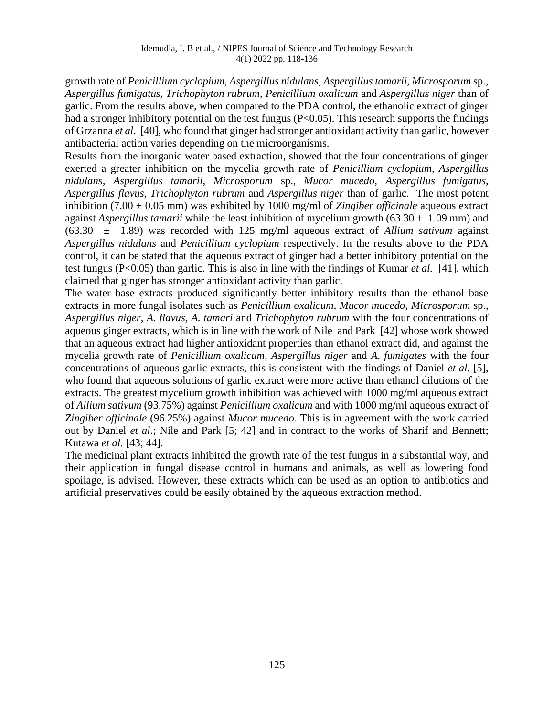growth rate of *Penicillium cyclopium, Aspergillus nidulans, Aspergillus tamarii, Microsporum* sp., *Aspergillus fumigatus, Trichophyton rubrum, Penicillium oxalicum* and *Aspergillus niger* than of garlic. From the results above, when compared to the PDA control, the ethanolic extract of ginger had a stronger inhibitory potential on the test fungus (P<0.05). This research supports the findings of Grzanna *et al*. [40], who found that ginger had stronger antioxidant activity than garlic, however antibacterial action varies depending on the microorganisms.

Results from the inorganic water based extraction, showed that the four concentrations of ginger exerted a greater inhibition on the mycelia growth rate of *Penicillium cyclopium, Aspergillus nidulans, Aspergillus tamarii, Microsporum* sp., *Mucor mucedo, Aspergillus fumigatus, Aspergillus flavus, Trichophyton rubrum* and *Aspergillus niger* than of garlic. The most potent inhibition (7.00 ± 0.05 mm) was exhibited by 1000 mg/ml of *Zingiber officinale* aqueous extract against *Aspergillus tamarii* while the least inhibition of mycelium growth  $(63.30 \pm 1.09 \text{ mm})$  and (63.30 ± 1.89) was recorded with 125 mg/ml aqueous extract of *Allium sativum* against *Aspergillus nidulans* and *Penicillium cyclopium* respectively. In the results above to the PDA control, it can be stated that the aqueous extract of ginger had a better inhibitory potential on the test fungus (P<0.05) than garlic. This is also in line with the findings of Kumar *et al.* [41], which claimed that ginger has stronger antioxidant activity than garlic.

The water base extracts produced significantly better inhibitory results than the ethanol base extracts in more fungal isolates such as *Penicillium oxalicum, Mucor mucedo, Microsporum* sp., *Aspergillus niger, A. flavus, A. tamari* and *Trichophyton rubrum* with the four concentrations of aqueous ginger extracts, which is in line with the work of Nile and Park [42] whose work showed that an aqueous extract had higher antioxidant properties than ethanol extract did, and against the mycelia growth rate of *Penicillium oxalicum, Aspergillus niger* and *A. fumigates* with the four concentrations of aqueous garlic extracts, this is consistent with the findings of Daniel *et al.* [5], who found that aqueous solutions of garlic extract were more active than ethanol dilutions of the extracts. The greatest mycelium growth inhibition was achieved with 1000 mg/ml aqueous extract of *Allium sativum* (93.75%) against *Penicillium oxalicum* and with 1000 mg/ml aqueous extract of *Zingiber officinale* (96.25%) against *Mucor mucedo*. This is in agreement with the work carried out by Daniel *et al*.; Nile and Park [5; 42] and in contract to the works of Sharif and Bennett; Kutawa *et al.* [43; 44].

The medicinal plant extracts inhibited the growth rate of the test fungus in a substantial way, and their application in fungal disease control in humans and animals, as well as lowering food spoilage, is advised. However, these extracts which can be used as an option to antibiotics and artificial preservatives could be easily obtained by the aqueous extraction method.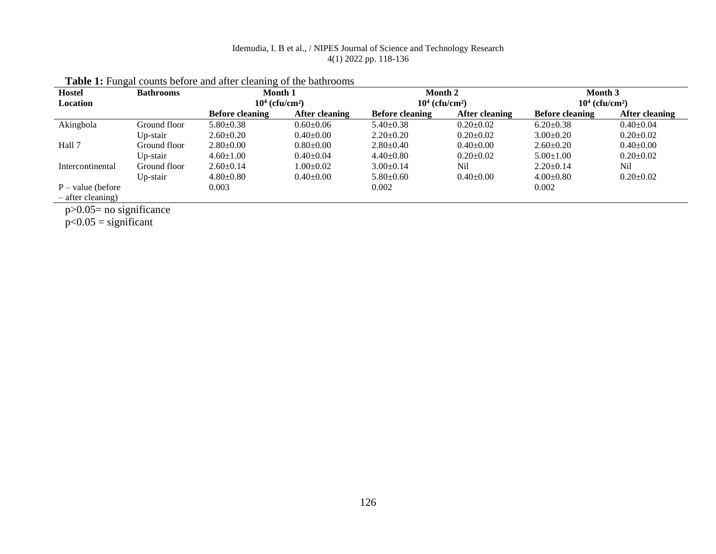| <b>Hostel</b>       | <b>Bathrooms</b> | Month 1                      |                 | Month 2                      |                       | Month 3                       |                 |  |
|---------------------|------------------|------------------------------|-----------------|------------------------------|-----------------------|-------------------------------|-----------------|--|
| Location            |                  | $104$ (cfu/cm <sup>2</sup> ) |                 | $104$ (cfu/cm <sup>2</sup> ) |                       | $10^4$ (cfu/cm <sup>2</sup> ) |                 |  |
|                     |                  | <b>Before cleaning</b>       | After cleaning  | <b>Before cleaning</b>       | <b>After cleaning</b> | <b>Before cleaning</b>        | After cleaning  |  |
| Akingbola           | Ground floor     | $5.80 \pm 0.38$              | $0.60 \pm 0.06$ | $5.40 \pm 0.38$              | $0.20 \pm 0.02$       | $6.20 \pm 0.38$               | $0.40 \pm 0.04$ |  |
|                     | Up-stair         | $2.60 \pm 0.20$              | $0.40 \pm 0.00$ | $2.20 \pm 0.20$              | $0.20 \pm 0.02$       | $3.00+0.20$                   | $0.20 \pm 0.02$ |  |
| Hall 7              | Ground floor     | $2.80 \pm 0.00$              | $0.80 \pm 0.00$ | $2.80 \pm 0.40$              | $0.40 \pm 0.00$       | $2.60 \pm 0.20$               | $0.40 \pm 0.00$ |  |
|                     | Up-stair         | $4.60 \pm 1.00$              | $0.40 \pm 0.04$ | $4.40 \pm 0.80$              | $0.20+0.02$           | $5.00 \pm 1.00$               | $0.20 \pm 0.02$ |  |
| Intercontinental    | Ground floor     | $2.60 \pm 0.14$              | $1.00 \pm 0.02$ | $3.00 \pm 0.14$              | Nil                   | $2.20 \pm 0.14$               | Nil             |  |
|                     | Up-stair         | $4.80 \pm 0.80$              | $0.40 \pm 0.00$ | $5.80 \pm 0.60$              | $0.40 \pm 0.00$       | $4.00 \pm 0.80$               | $0.20 \pm 0.02$ |  |
| $P - value$ (before |                  | 0.003                        |                 | 0.002                        |                       | 0.002                         |                 |  |
| $-$ after cleaning) |                  |                              |                 |                              |                       |                               |                 |  |
|                     |                  |                              |                 |                              |                       |                               |                 |  |

# Table 1: Fungal counts before and after cleaning of the bathrooms

p>0.05= no significance

p<0.05 = significant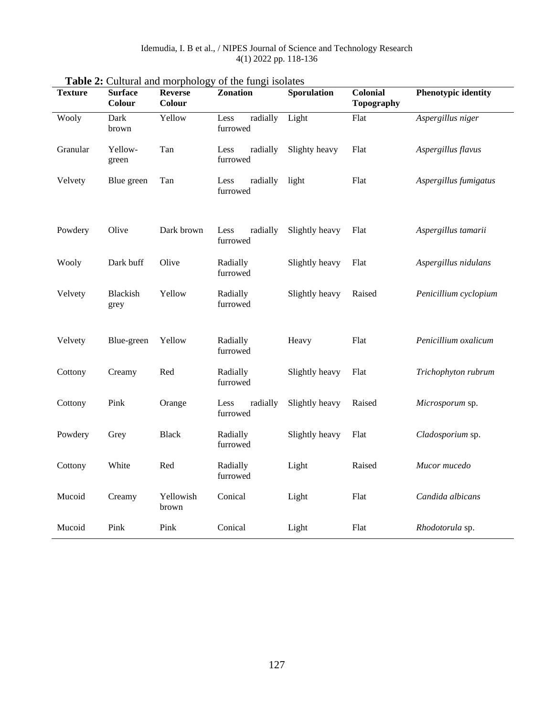| <b>Texture</b> | <b>Surface</b><br>Colour | <b>Reverse</b><br>Colour | Zonation                     | Sporulation    | Colonial<br><b>Topography</b> | <b>Phenotypic identity</b> |
|----------------|--------------------------|--------------------------|------------------------------|----------------|-------------------------------|----------------------------|
| Wooly          | Dark<br>brown            | Yellow                   | radially<br>Less<br>furrowed | Light          | Flat                          | Aspergillus niger          |
| Granular       | Yellow-<br>green         | Tan                      | Less<br>radially<br>furrowed | Slighty heavy  | Flat                          | Aspergillus flavus         |
| Velvety        | Blue green               | Tan                      | radially<br>Less<br>furrowed | light          | Flat                          | Aspergillus fumigatus      |
| Powdery        | Olive                    | Dark brown               | radially<br>Less<br>furrowed | Slightly heavy | Flat                          | Aspergillus tamarii        |
| Wooly          | Dark buff                | Olive                    | Radially<br>furrowed         | Slightly heavy | Flat                          | Aspergillus nidulans       |
| Velvety        | <b>Blackish</b><br>grey  | Yellow                   | Radially<br>furrowed         | Slightly heavy | Raised                        | Penicillium cyclopium      |
| Velvety        | Blue-green               | Yellow                   | Radially<br>furrowed         | Heavy          | Flat                          | Penicillium oxalicum       |
| Cottony        | Creamy                   | Red                      | Radially<br>furrowed         | Slightly heavy | Flat                          | Trichophyton rubrum        |
| Cottony        | Pink                     | Orange                   | Less<br>radially<br>furrowed | Slightly heavy | Raised                        | Microsporum sp.            |
| Powdery        | Grey                     | <b>Black</b>             | Radially<br>furrowed         | Slightly heavy | Flat                          | Cladosporium sp.           |
| Cottony        | White                    | Red                      | Radially<br>furrowed         | Light          | Raised                        | Mucor mucedo               |
| Mucoid         | Creamy                   | Yellowish<br>brown       | Conical                      | Light          | Flat                          | Candida albicans           |
| Mucoid         | Pink                     | Pink                     | Conical                      | Light          | Flat                          | Rhodotorula sp.            |

# **Table 2:** Cultural and morphology of the fungi isolates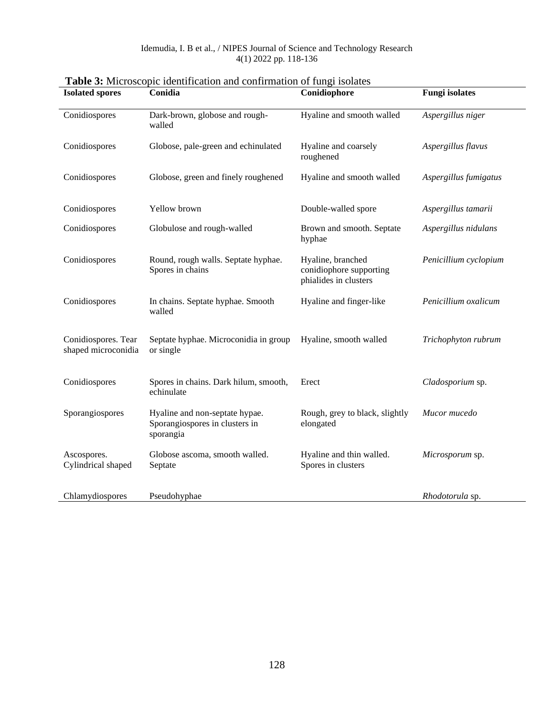| <b>Isolated spores</b>                     | Conidia                                                                       | Conidiophore                                                          | <b>Fungi</b> isolates |
|--------------------------------------------|-------------------------------------------------------------------------------|-----------------------------------------------------------------------|-----------------------|
| Conidiospores                              | Dark-brown, globose and rough-<br>walled                                      | Hyaline and smooth walled                                             | Aspergillus niger     |
| Conidiospores                              | Globose, pale-green and echinulated                                           | Hyaline and coarsely<br>roughened                                     | Aspergillus flavus    |
| Conidiospores                              | Globose, green and finely roughened                                           | Hyaline and smooth walled                                             | Aspergillus fumigatus |
| Conidiospores                              | Yellow brown                                                                  | Double-walled spore                                                   | Aspergillus tamarii   |
| Conidiospores                              | Globulose and rough-walled                                                    | Brown and smooth. Septate<br>hyphae                                   | Aspergillus nidulans  |
| Conidiospores                              | Round, rough walls. Septate hyphae.<br>Spores in chains                       | Hyaline, branched<br>conidiophore supporting<br>phialides in clusters | Penicillium cyclopium |
| Conidiospores                              | In chains. Septate hyphae. Smooth<br>walled                                   | Hyaline and finger-like                                               | Penicillium oxalicum  |
| Conidiospores. Tear<br>shaped microconidia | Septate hyphae. Microconidia in group<br>or single                            | Hyaline, smooth walled                                                | Trichophyton rubrum   |
| Conidiospores                              | Spores in chains. Dark hilum, smooth,<br>echinulate                           | Erect                                                                 | Cladosporium sp.      |
| Sporangiospores                            | Hyaline and non-septate hypae.<br>Sporangiospores in clusters in<br>sporangia | Rough, grey to black, slightly<br>elongated                           | Mucor mucedo          |
| Ascospores.<br>Cylindrical shaped          | Globose ascoma, smooth walled.<br>Septate                                     | Hyaline and thin walled.<br>Spores in clusters                        | Microsporum sp.       |
| Chlamydiospores                            | Pseudohyphae                                                                  |                                                                       | Rhodotorula sp.       |

**Table 3:** Microscopic identification and confirmation of fungi isolates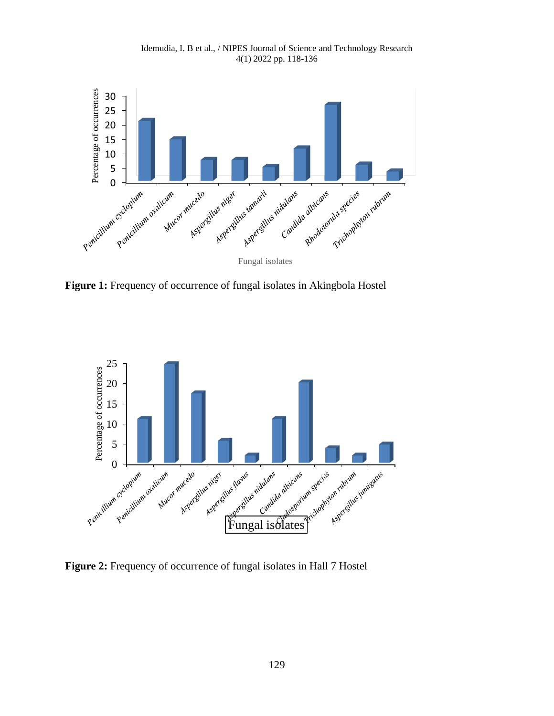

Idemudia, I. B et al., / NIPES Journal of Science and Technology Research 4(1) 2022 pp. 118-136

Figure 1: Frequency of occurrence of fungal isolates in Akingbola Hostel



**Figure 2:** Frequency of occurrence of fungal isolates in Hall 7 Hostel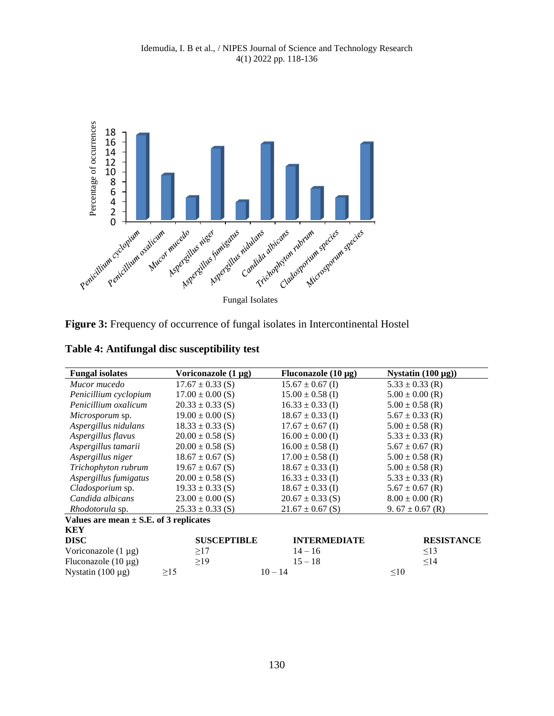

Figure 3: Frequency of occurrence of fungal isolates in Intercontinental Hostel

|  | Table 4: Antifungal disc susceptibility test |  |  |
|--|----------------------------------------------|--|--|
|  |                                              |  |  |

| <b>Fungal isolates</b>                     | Voriconazole (1 µg)  | Fluconazole $(10 \mu g)$ | Nystatin $(100 \mu g)$ |
|--------------------------------------------|----------------------|--------------------------|------------------------|
| Mucor mucedo                               | $17.67 \pm 0.33$ (S) | $15.67 \pm 0.67$ (I)     | $5.33 \pm 0.33$ (R)    |
| Penicillium cyclopium                      | $17.00 \pm 0.00$ (S) | $15.00 \pm 0.58$ (I)     | $5.00 \pm 0.00$ (R)    |
| Penicillium oxalicum                       | $20.33 \pm 0.33$ (S) | $16.33 \pm 0.33$ (I)     | $5.00 \pm 0.58$ (R)    |
| <i>Microsporum</i> sp.                     | $19.00 \pm 0.00$ (S) | $18.67 \pm 0.33$ (I)     | $5.67 \pm 0.33$ (R)    |
| Aspergillus nidulans                       | $18.33 \pm 0.33$ (S) | $17.67 \pm 0.67$ (I)     | $5.00 \pm 0.58$ (R)    |
| Aspergillus flavus                         | $20.00 \pm 0.58$ (S) | $16.00 \pm 0.00$ (I)     | $5.33 \pm 0.33$ (R)    |
| Aspergillus tamarii                        | $20.00 \pm 0.58$ (S) | $16.00 \pm 0.58$ (I)     | $5.67 \pm 0.67$ (R)    |
| Aspergillus niger                          | $18.67 \pm 0.67$ (S) | $17.00 \pm 0.58$ (I)     | $5.00 \pm 0.58$ (R)    |
| Trichophyton rubrum                        | $19.67 \pm 0.67$ (S) | $18.67 \pm 0.33$ (I)     | $5.00 \pm 0.58$ (R)    |
| Aspergillus fumigatus                      | $20.00 \pm 0.58$ (S) | $16.33 \pm 0.33$ (I)     | $5.33 \pm 0.33$ (R)    |
| Cladosporium sp.                           | $19.33 \pm 0.33$ (S) | $18.67 \pm 0.33$ (I)     | $5.67 \pm 0.67$ (R)    |
| Candida albicans                           | $23.00 \pm 0.00$ (S) | $20.67 \pm 0.33$ (S)     | $8.00 \pm 0.00$ (R)    |
| Rhodotorula sp.                            | $25.33 \pm 0.33$ (S) | $21.67 \pm 0.67$ (S)     | 9. $67 \pm 0.67$ (R)   |
| Values are mean $\pm$ S.E. of 3 replicates |                      |                          |                        |
| KEY                                        |                      |                          |                        |
| <b>DISC</b>                                | <b>SUSCEPTIBLE</b>   | <b>INTERMEDIATE</b>      | <b>RESISTANCE</b>      |
| Voriconazole $(1 \mu g)$                   | $\geq$ 17            | $14 - 16$                | $\leq$ 13              |
| Fluconazole $(10 \mu g)$                   | $\geq$ 19            | $15 - 18$                | $\leq$ 14              |
| Nystatin $(100 \mu g)$                     | $\geq$ 15            | $10 - 14$                | $\leq 10$              |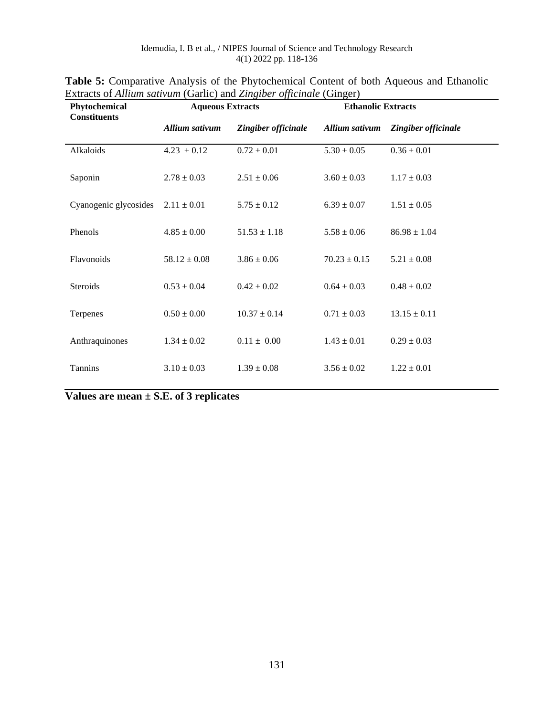| LAGACS OF THRIMI SUITMIN (OUTILE) AND LINKIDET Officinate (OTHERF)<br>Phytochemical | <b>Aqueous Extracts</b> |                     | <b>Ethanolic Extracts</b> |                     |  |
|-------------------------------------------------------------------------------------|-------------------------|---------------------|---------------------------|---------------------|--|
| <b>Constituents</b>                                                                 | Allium sativum          | Zingiber officinale | Allium sativum            | Zingiber officinale |  |
| Alkaloids                                                                           | $4.23 \pm 0.12$         | $0.72 \pm 0.01$     | $5.30 \pm 0.05$           | $0.36 \pm 0.01$     |  |
| Saponin                                                                             | $2.78 \pm 0.03$         | $2.51 \pm 0.06$     | $3.60 \pm 0.03$           | $1.17 \pm 0.03$     |  |
| Cyanogenic glycosides                                                               | $2.11 \pm 0.01$         | $5.75 \pm 0.12$     | $6.39 \pm 0.07$           | $1.51 \pm 0.05$     |  |
| Phenols                                                                             | $4.85 \pm 0.00$         | $51.53 \pm 1.18$    | $5.58 \pm 0.06$           | $86.98 \pm 1.04$    |  |
| Flavonoids                                                                          | $58.12 \pm 0.08$        | $3.86 \pm 0.06$     | $70.23 \pm 0.15$          | $5.21 \pm 0.08$     |  |
| Steroids                                                                            | $0.53 \pm 0.04$         | $0.42 \pm 0.02$     | $0.64 \pm 0.03$           | $0.48 \pm 0.02$     |  |
| Terpenes                                                                            | $0.50 \pm 0.00$         | $10.37 \pm 0.14$    | $0.71 \pm 0.03$           | $13.15 \pm 0.11$    |  |
| Anthraquinones                                                                      | $1.34 \pm 0.02$         | $0.11 \pm 0.00$     | $1.43 \pm 0.01$           | $0.29 \pm 0.03$     |  |
| Tannins                                                                             | $3.10 \pm 0.03$         | $1.39 \pm 0.08$     | $3.56 \pm 0.02$           | $1.22 \pm 0.01$     |  |

| <b>Table 5:</b> Comparative Analysis of the Phytochemical Content of both Aqueous and Ethanolic |  |
|-------------------------------------------------------------------------------------------------|--|
| Extracts of Allium sativum (Garlic) and Zingiber officinale (Ginger)                            |  |

**Values are mean ± S.E. of 3 replicates**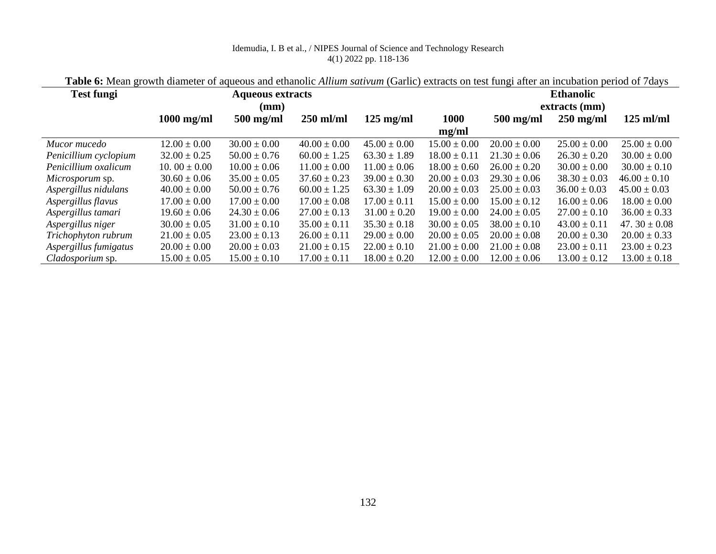| <b>Test fungi</b>     |                   | <b>Ethanolic</b> |                  |                     |                  |                  |                  |                   |  |  |
|-----------------------|-------------------|------------------|------------------|---------------------|------------------|------------------|------------------|-------------------|--|--|
|                       |                   | (mm)             |                  |                     |                  | extracts (mm)    |                  |                   |  |  |
|                       | $1000$ mg/ml      | $500$ mg/ml      | $250$ ml/ml      | $125 \text{ mg/ml}$ | 1000             | $500$ mg/ml      | $250$ mg/ml      | $125$ ml/ml       |  |  |
|                       |                   |                  |                  |                     | mg/ml            |                  |                  |                   |  |  |
| Mucor mucedo          | $12.00 \pm 0.00$  | $30.00 \pm 0.00$ | $40.00 \pm 0.00$ | $45.00 \pm 0.00$    | $15.00 \pm 0.00$ | $20.00 \pm 0.00$ | $25.00 \pm 0.00$ | $25.00 \pm 0.00$  |  |  |
| Penicillium cyclopium | $32.00 \pm 0.25$  | $50.00 \pm 0.76$ | $60.00 \pm 1.25$ | $63.30 \pm 1.89$    | $18.00 \pm 0.11$ | $21.30 \pm 0.06$ | $26.30 \pm 0.20$ | $30.00 \pm 0.00$  |  |  |
| Penicillium oxalicum  | 10. 00 $\pm$ 0.00 | $10.00 \pm 0.06$ | $11.00 \pm 0.00$ | $11.00 \pm 0.06$    | $18.00 \pm 0.60$ | $26.00 \pm 0.20$ | $30.00 \pm 0.00$ | $30.00 \pm 0.10$  |  |  |
| Microsporum sp.       | $30.60 \pm 0.06$  | $35.00 \pm 0.05$ | $37.60 \pm 0.23$ | $39.00 \pm 0.30$    | $20.00 \pm 0.03$ | $29.30 \pm 0.06$ | $38.30 \pm 0.03$ | $46.00 \pm 0.10$  |  |  |
| Aspergillus nidulans  | $40.00 \pm 0.00$  | $50.00 \pm 0.76$ | $60.00 \pm 1.25$ | $63.30 \pm 1.09$    | $20.00 \pm 0.03$ | $25.00 \pm 0.03$ | $36.00 \pm 0.03$ | $45.00 \pm 0.03$  |  |  |
| Aspergillus flavus    | $17.00 \pm 0.00$  | $17.00 \pm 0.00$ | $17.00 \pm 0.08$ | $17.00 \pm 0.11$    | $15.00 \pm 0.00$ | $15.00 \pm 0.12$ | $16.00 \pm 0.06$ | $18.00 \pm 0.00$  |  |  |
| Aspergillus tamari    | $19.60 \pm 0.06$  | $24.30 \pm 0.06$ | $27.00 \pm 0.13$ | $31.00 \pm 0.20$    | $19.00 \pm 0.00$ | $24.00 \pm 0.05$ | $27.00 \pm 0.10$ | $36.00 \pm 0.33$  |  |  |
| Aspergillus niger     | $30.00 \pm 0.05$  | $31.00 \pm 0.10$ | $35.00 \pm 0.11$ | $35.30 \pm 0.18$    | $30.00 \pm 0.05$ | $38.00 \pm 0.10$ | $43.00 \pm 0.11$ | 47. $30 \pm 0.08$ |  |  |
| Trichophyton rubrum   | $21.00 \pm 0.05$  | $23.00 \pm 0.13$ | $26.00 \pm 0.11$ | $29.00 \pm 0.00$    | $20.00 \pm 0.05$ | $20.00 \pm 0.08$ | $20.00 \pm 0.30$ | $20.00 \pm 0.33$  |  |  |
| Aspergillus fumigatus | $20.00 \pm 0.00$  | $20.00 \pm 0.03$ | $21.00 \pm 0.15$ | $22.00 \pm 0.10$    | $21.00 \pm 0.00$ | $21.00 \pm 0.08$ | $23.00 \pm 0.11$ | $23.00 \pm 0.23$  |  |  |
| Cladosporium sp.      | $15.00 \pm 0.05$  | $15.00 \pm 0.10$ | $17.00 \pm 0.11$ | $18.00 \pm 0.20$    | $12.00 \pm 0.00$ | $12.00 \pm 0.06$ | $13.00 \pm 0.12$ | $13.00 \pm 0.18$  |  |  |

**Table 6:** Mean growth diameter of aqueous and ethanolic *Allium sativum* (Garlic) extracts on test fungi after an incubation period of 7days

J.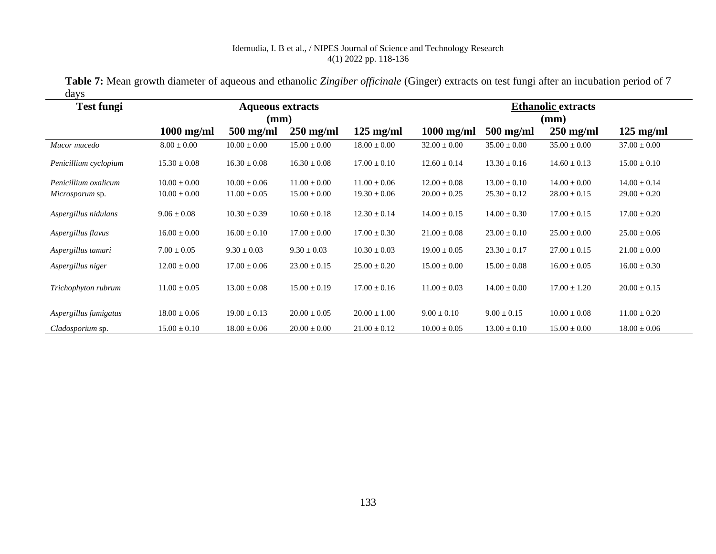|      | Table 7: Mean growth diameter of aqueous and ethanolic Zingiber officinale (Ginger) extracts on test fungi after an incubation period of 7 |
|------|--------------------------------------------------------------------------------------------------------------------------------------------|
| days |                                                                                                                                            |

| <b>Test fungi</b>     |                  | <b>Aqueous extracts</b> |                  | <b>Ethanolic extracts</b> |                  |                  |                  |                     |
|-----------------------|------------------|-------------------------|------------------|---------------------------|------------------|------------------|------------------|---------------------|
|                       |                  | (mm)                    |                  | (mm)                      |                  |                  |                  |                     |
|                       | $1000$ mg/ml     | $500$ mg/ml             | $250$ mg/ml      | $125 \text{ mg/ml}$       | $1000$ mg/ml     | $500$ mg/ml      | $250$ mg/ml      | $125 \text{ mg/ml}$ |
| Mucor mucedo          | $8.00 \pm 0.00$  | $10.00 \pm 0.00$        | $15.00 \pm 0.00$ | $18.00 \pm 0.00$          | $32.00 \pm 0.00$ | $35.00 \pm 0.00$ | $35.00 \pm 0.00$ | $37.00 \pm 0.00$    |
| Penicillium cyclopium | $15.30 \pm 0.08$ | $16.30 \pm 0.08$        | $16.30 \pm 0.08$ | $17.00 \pm 0.10$          | $12.60 \pm 0.14$ | $13.30 \pm 0.16$ | $14.60 \pm 0.13$ | $15.00 \pm 0.10$    |
| Penicillium oxalicum  | $10.00 \pm 0.00$ | $10.00 \pm 0.06$        | $11.00 \pm 0.00$ | $11.00 \pm 0.06$          | $12.00 \pm 0.08$ | $13.00 \pm 0.10$ | $14.00 \pm 0.00$ | $14.00 \pm 0.14$    |
| Microsporum sp.       | $10.00 \pm 0.00$ | $11.00 \pm 0.05$        | $15.00 \pm 0.00$ | $19.30 \pm 0.06$          | $20.00 \pm 0.25$ | $25.30 \pm 0.12$ | $28.00 \pm 0.15$ | $29.00 \pm 0.20$    |
| Aspergillus nidulans  | $9.06 \pm 0.08$  | $10.30 \pm 0.39$        | $10.60 \pm 0.18$ | $12.30 \pm 0.14$          | $14.00 \pm 0.15$ | $14.00 \pm 0.30$ | $17.00 \pm 0.15$ | $17.00 \pm 0.20$    |
| Aspergillus flavus    | $16.00 \pm 0.00$ | $16.00 \pm 0.10$        | $17.00 \pm 0.00$ | $17.00 \pm 0.30$          | $21.00 \pm 0.08$ | $23.00 \pm 0.10$ | $25.00 \pm 0.00$ | $25.00 \pm 0.06$    |
| Aspergillus tamari    | $7.00 \pm 0.05$  | $9.30 \pm 0.03$         | $9.30 \pm 0.03$  | $10.30 \pm 0.03$          | $19.00 \pm 0.05$ | $23.30 \pm 0.17$ | $27.00 \pm 0.15$ | $21.00 \pm 0.00$    |
| Aspergillus niger     | $12.00 \pm 0.00$ | $17.00 \pm 0.06$        | $23.00 \pm 0.15$ | $25.00 \pm 0.20$          | $15.00 \pm 0.00$ | $15.00 \pm 0.08$ | $16.00 \pm 0.05$ | $16.00 \pm 0.30$    |
| Trichophyton rubrum   | $11.00 \pm 0.05$ | $13.00 \pm 0.08$        | $15.00 \pm 0.19$ | $17.00 \pm 0.16$          | $11.00 \pm 0.03$ | $14.00 \pm 0.00$ | $17.00 \pm 1.20$ | $20.00 \pm 0.15$    |
| Aspergillus fumigatus | $18.00 \pm 0.06$ | $19.00 \pm 0.13$        | $20.00 \pm 0.05$ | $20.00 \pm 1.00$          | $9.00 \pm 0.10$  | $9.00 \pm 0.15$  | $10.00 \pm 0.08$ | $11.00 \pm 0.20$    |
| Cladosporium sp.      | $15.00 \pm 0.10$ | $18.00 \pm 0.06$        | $20.00 \pm 0.00$ | $21.00 \pm 0.12$          | $10.00 \pm 0.05$ | $13.00 \pm 0.10$ | $15.00 \pm 0.00$ | $18.00 \pm 0.06$    |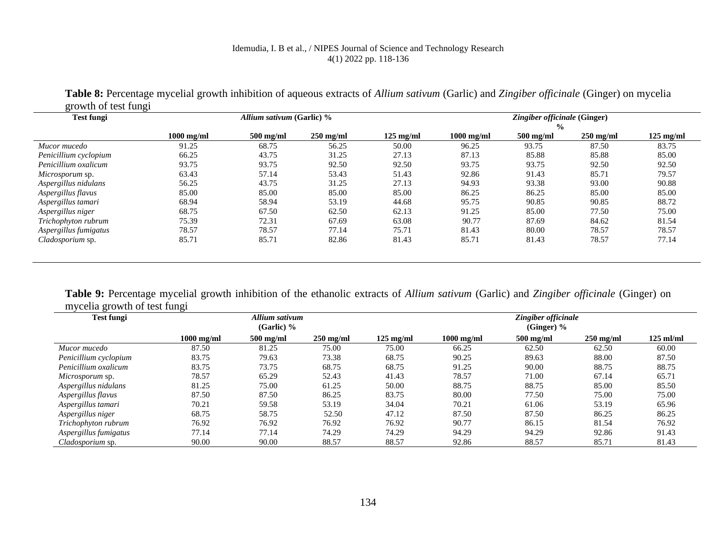| <b>Test fungi</b>      |              | Allium sativum (Garlic) % |             |                     | Zingiber officinale (Ginger) |                              |                     |             |  |
|------------------------|--------------|---------------------------|-------------|---------------------|------------------------------|------------------------------|---------------------|-------------|--|
|                        | $1000$ mg/ml | $500$ mg/ml               | $250$ mg/ml | $125 \text{ mg/ml}$ | $1000$ mg/ml                 | $\frac{0}{0}$<br>$500$ mg/ml | $250 \text{ mg/ml}$ | $125$ mg/ml |  |
| Mucor mucedo           | 91.25        | 68.75                     | 56.25       | 50.00               | 96.25                        | 93.75                        | 87.50               | 83.75       |  |
| Penicillium cyclopium  | 66.25        | 43.75                     | 31.25       | 27.13               | 87.13                        | 85.88                        | 85.88               | 85.00       |  |
| Penicillium oxalicum   | 93.75        | 93.75                     | 92.50       | 92.50               | 93.75                        | 93.75                        | 92.50               | 92.50       |  |
| <i>Microsporum</i> sp. | 63.43        | 57.14                     | 53.43       | 51.43               | 92.86                        | 91.43                        | 85.71               | 79.57       |  |
| Aspergillus nidulans   | 56.25        | 43.75                     | 31.25       | 27.13               | 94.93                        | 93.38                        | 93.00               | 90.88       |  |
| Aspergillus flavus     | 85.00        | 85.00                     | 85.00       | 85.00               | 86.25                        | 86.25                        | 85.00               | 85.00       |  |
| Aspergillus tamari     | 68.94        | 58.94                     | 53.19       | 44.68               | 95.75                        | 90.85                        | 90.85               | 88.72       |  |
| Aspergillus niger      | 68.75        | 67.50                     | 62.50       | 62.13               | 91.25                        | 85.00                        | 77.50               | 75.00       |  |
| Trichophyton rubrum    | 75.39        | 72.31                     | 67.69       | 63.08               | 90.77                        | 87.69                        | 84.62               | 81.54       |  |
| Aspergillus fumigatus  | 78.57        | 78.57                     | 77.14       | 75.71               | 81.43                        | 80.00                        | 78.57               | 78.57       |  |
| Cladosporium sp.       | 85.71        | 85.71                     | 82.86       | 81.43               | 85.71                        | 81.43                        | 78.57               | 77.14       |  |

**Table 8:** Percentage mycelial growth inhibition of aqueous extracts of *Allium sativum* (Garlic) and *Zingiber officinale* (Ginger) on mycelia  $y<sub>th</sub>$  of toot fung

**Table 9:** Percentage mycelial growth inhibition of the ethanolic extracts of *Allium sativum* (Garlic) and *Zingiber officinale* (Ginger) on mycelia growth of test fungi

| <b>Test fungi</b>      |              | Allium sativum<br>(Garlic) $%$ |                     |                     | Zingiber officinale<br>(Ginger) $%$ |             |             |             |  |
|------------------------|--------------|--------------------------------|---------------------|---------------------|-------------------------------------|-------------|-------------|-------------|--|
|                        | $1000$ mg/ml | $500$ mg/ml                    | $250 \text{ mg/ml}$ | $125 \text{ mg/ml}$ | $1000$ mg/ml                        | $500$ mg/ml | $250$ mg/ml | $125$ ml/ml |  |
| Mucor mucedo           | 87.50        | 81.25                          | 75.00               | 75.00               | 66.25                               | 62.50       | 62.50       | 60.00       |  |
| Penicillium cyclopium  | 83.75        | 79.63                          | 73.38               | 68.75               | 90.25                               | 89.63       | 88.00       | 87.50       |  |
| Penicillium oxalicum   | 83.75        | 73.75                          | 68.75               | 68.75               | 91.25                               | 90.00       | 88.75       | 88.75       |  |
| <i>Microsporum</i> sp. | 78.57        | 65.29                          | 52.43               | 41.43               | 78.57                               | 71.00       | 67.14       | 65.71       |  |
| Aspergillus nidulans   | 81.25        | 75.00                          | 61.25               | 50.00               | 88.75                               | 88.75       | 85.00       | 85.50       |  |
| Aspergillus flavus     | 87.50        | 87.50                          | 86.25               | 83.75               | 80.00                               | 77.50       | 75.00       | 75.00       |  |
| Aspergillus tamari     | 70.21        | 59.58                          | 53.19               | 34.04               | 70.21                               | 61.06       | 53.19       | 65.96       |  |
| Aspergillus niger      | 68.75        | 58.75                          | 52.50               | 47.12               | 87.50                               | 87.50       | 86.25       | 86.25       |  |
| Trichophyton rubrum    | 76.92        | 76.92                          | 76.92               | 76.92               | 90.77                               | 86.15       | 81.54       | 76.92       |  |
| Aspergillus fumigatus  | 77.14        | 77.14                          | 74.29               | 74.29               | 94.29                               | 94.29       | 92.86       | 91.43       |  |
| Cladosporium sp.       | 90.00        | 90.00                          | 88.57               | 88.57               | 92.86                               | 88.57       | 85.71       | 81.43       |  |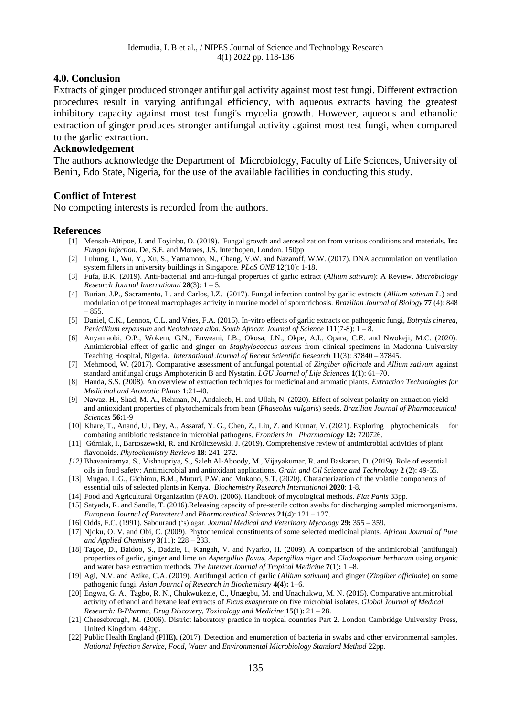#### **4.0. Conclusion**

Extracts of ginger produced stronger antifungal activity against most test fungi. Different extraction procedures result in varying antifungal efficiency, with aqueous extracts having the greatest inhibitory capacity against most test fungi's mycelia growth. However, aqueous and ethanolic extraction of ginger produces stronger antifungal activity against most test fungi, when compared to the garlic extraction.

#### **Acknowledgement**

The authors acknowledge the Department of Microbiology, Faculty of Life Sciences, University of Benin, Edo State, Nigeria, for the use of the available facilities in conducting this study.

#### **Conflict of Interest**

No competing interests is recorded from the authors.

#### **References**

- [1] Mensah-Attipoe, J. and Toyinbo, O. (2019). Fungal growth and aerosolization from various conditions and materials. **In:** *Fungal Infection.* De, S.E. and Moraes, J.S. Intechopen, London. 150pp
- [2] Luhung, I., Wu, Y., Xu, S., Yamamoto, N., Chang, V.W. and Nazaroff, W.W. (2017). DNA accumulation on ventilation system filters in university buildings in Singapore. *PLoS ONE* **12**(10): 1-18.
- [3] Fufa, B.K. (2019). Anti-bacterial and anti-fungal properties of garlic extract (*Allium sativum*): A Review. *Microbiology Research Journal International* **28**(3): 1 – 5.
- [4] Burian, J.P., Sacramento, L. and Carlos, I.Z. (2017). Fungal infection control by garlic extracts (*Allium sativum L*.) and modulation of peritoneal macrophages activity in murine model of sporotrichosis. *Brazilian Journal of Biology* **77** (4): 848 – 855.
- [5] Daniel, C.K., Lennox, C.L. and Vries, F.A. (2015). In-vitro effects of garlic extracts on pathogenic fungi, *Botrytis cinerea, Penicillium expansum* and *Neofabraea alba*. *South African Journal of Science* **111**(7-8): 1 – 8.
- [6] Anyamaobi, O.P., Wokem, G.N., Enweani, I.B., Okosa, J.N., Okpe, A.I., Opara, C.E. and Nwokeji, M.C. (2020). Antimicrobial effect of garlic and ginger on *Staphylococcus aureus* from clinical specimens in Madonna University Teaching Hospital, Nigeria. *International Journal of Recent Scientific Research* **11**(3): 37840 – 37845.
- [7] Mehmood, W. (2017). Comparative assessment of antifungal potential of *Zingiber officinale* and *Allium sativum* against standard antifungal drugs Amphotericin B and Nystatin. *LGU Journal of Life Sciences* **1**(1): 61–70.
- [8] Handa, S.S. (2008). An overview of extraction techniques for medicinal and aromatic plants. *Extraction Technologies for Medicinal and Aromatic Plants* **1**:21-40.
- [9] Nawaz, H., Shad, M. A., Rehman, N., Andaleeb, H. and Ullah, N. (2020). Effect of solvent polarity on extraction yield and antioxidant properties of phytochemicals from bean (*Phaseolus vulgaris*) seeds. *Brazilian Journal of Pharmaceutical Sciences* **56:**1-9
- [10] Khare, T., Anand, U., Dey, A., Assaraf, Y. G., Chen, Z., Liu, Z. and Kumar, V. (2021). Exploring phytochemicals for combating antibiotic resistance in microbial pathogens. *Frontiers in Pharmacology* **12:** 720726.
- [11] Górniak, I., Bartoszewski, R. and Króliczewski, J. (2019). Comprehensive review of antimicrobial activities of plant flavonoids. *Phytochemistry Reviews* **18**: 241–272.
- *[12]* Bhavaniramya, S., Vishnupriya, S., Saleh Al-Aboody, M., Vijayakumar, R. and Baskaran, D. (2019). Role of essential oils in food safety: Antimicrobial and antioxidant applications. *Grain and Oil Science and Technology* **2** (2): 49-55.
- [13] Mugao, L.G., Gichimu, B.M., Muturi, P.W. and Mukono, S.T. (2020). Characterization of the volatile components of essential oils of selected plants in Kenya. *Biochemistry Research International* **2020**: 1-8.
- [14] Food and Agricultural Organization (FAO). (2006). Handbook of mycological methods. *Fiat Panis* 33pp.
- [15] Satyada, R. and Sandle, T. (2016).Releasing capacity of pre-sterile cotton swabs for discharging sampled microorganisms. *European Journal of Parenteral* and *Pharmaceutical Sciences* **21**(4): 121 – 127.
- [16] Odds, F.C. (1991). Sabouraud ('s) agar. *Journal Medical and Veterinary Mycology* **29:** 355 359.
- [17] Njoku, O. V. and Obi, C. (2009). Phytochemical constituents of some selected medicinal plants. *African Journal of Pure and Applied Chemistry* **3**(11): 228 – 233.
- [18] Tagoe, D., Baidoo, S., Dadzie, I., Kangah, V. and Nyarko, H. (2009). A comparison of the antimicrobial (antifungal) properties of garlic, ginger and lime on *Aspergillus flavus*, *Aspergillus niger* and *Cladosporium herbarum* using organic and water base extraction methods. *The Internet Journal of Tropical Medicine* **7**(1)**:** 1 –8.
- [19] Agi, N.V. and Azike, C.A. (2019). Antifungal action of garlic (*Allium sativum*) and ginger (*Zingiber officinale*) on some pathogenic fungi. *Asian Journal of Research in Biochemistry* **4(4):** 1–6.
- [20] Engwa, G. A., Tagbo, R. N., Chukwukezie, C., Unaegbu, M. and Unachukwu, M. N. (2015). Comparative antimicrobial activity of ethanol and hexane leaf extracts of *Ficus exasperate* on five microbial isolates. *Global Journal of Medical Research: B-Pharma, Drug Discovery, Toxicology and Medicine* **15**(1): 21 – 28.
- [21] Cheesebrough, M. (2006). District laboratory practice in tropical countries Part 2. London Cambridge University Press, United Kingdom, 442pp.
- [22] Public Health England (PHE**).** (2017). Detection and enumeration of bacteria in swabs and other environmental samples. *National Infection Service, Food, Water* and *Environmental Microbiology Standard Method* 22pp.